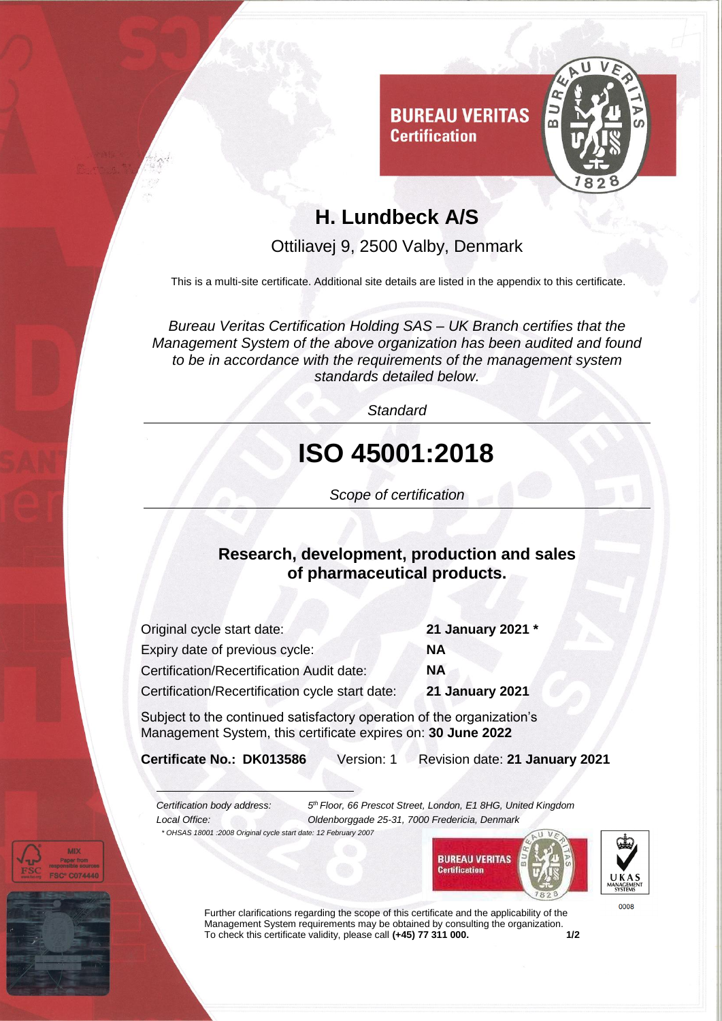

### **H. Lundbeck A/S**

**Certification** 

Ottiliavej 9, 2500 Valby, Denmark

This is a multi-site certificate. Additional site details are listed in the appendix to this certificate.

*Bureau Veritas Certification Holding SAS – UK Branch certifies that the Management System of the above organization has been audited and found to be in accordance with the requirements of the management system standards detailed below.*

*Standard*

# **ISO 45001:2018**

*Scope of certification*

#### **Research, development, production and sales of pharmaceutical products.**

| Original cycle start date:                      | 21 January 2021 *      |
|-------------------------------------------------|------------------------|
| Expiry date of previous cycle:                  | <b>NA</b>              |
| Certification/Recertification Audit date:       | <b>NA</b>              |
| Certification/Recertification cycle start date: | <b>21 January 2021</b> |

Subject to the continued satisfactory operation of the organization's Management System, this certificate expires on: **30 June 2022**

**Certificate No.: DK013586** Version: 1 Revision date: **21 January 2021**

*Certification body address: 5*

*th Floor, 66 Prescot Street, London, E1 8HG, United Kingdom Local Office: Oldenborggade 25-31, 7000 Fredericia, Denmark*







0008

Further clarifications regarding the scope of this certificate and the applicability of the Management System requirements may be obtained by consulting the organization.<br>To check this certificate validity, please call (+45) 77 311 000. To check this certificate validity, please call (+45) 77 311 000.